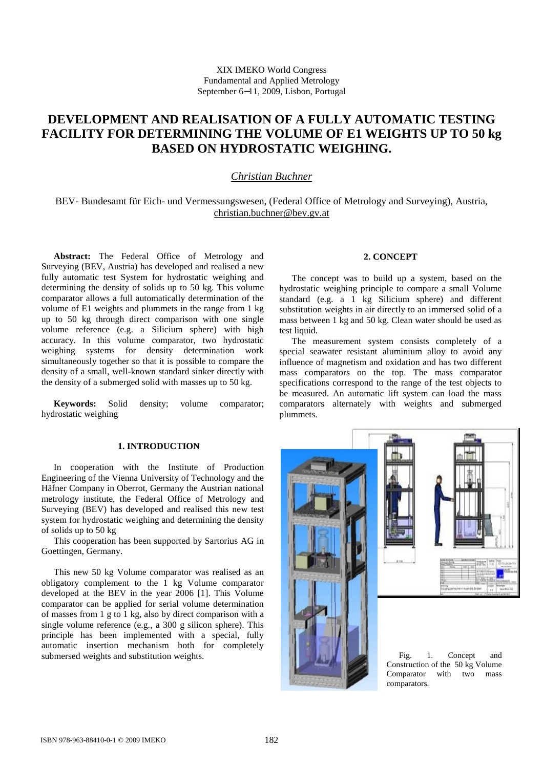# **DEVELOPMENT AND REALISATION OF A FULLY AUTOMATIC TESTING FACILITY FOR DETERMINING THE VOLUME OF E1 WEIGHTS UP TO 50 kg BASED ON HYDROSTATIC WEIGHING.**

## *Christian Buchner*

BEV- Bundesamt für Eich- und Vermessungswesen, (Federal Office of Metrology and Surveying), Austria, [christian.buchner@bev.gv.at](mailto:christian.buchner@bev.gv.at)

**Abstract:** The Federal Office of Metrology and Surveying (BEV, Austria) has developed and realised a new fully automatic test System for hydrostatic weighing and determining the density of solids up to 50 kg. This volume comparator allows a full automatically determination of the volume of E1 weights and plummets in the range from 1 kg up to 50 kg through direct comparison with one single volume reference (e.g. a Silicium sphere) with high accuracy. In this volume comparator, two hydrostatic weighing systems for density determination work simultaneously together so that it is possible to compare the density of a small, well-known standard sinker directly with the density of a submerged solid with masses up to 50 kg.

**Keywords:** Solid density; volume comparator; hydrostatic weighing

## **1. INTRODUCTION**

In cooperation with the Institute of Production Engineering of the Vienna University of Technology and the Häfner Company in Oberrot, Germany the Austrian national metrology institute, the Federal Office of Metrology and Surveying (BEV) has developed and realised this new test system for hydrostatic weighing and determining the density of solids up to 50 kg

This cooperation has been supported by Sartorius AG in Goettingen, Germany.

This new 50 kg Volume comparator was realised as an obligatory complement to the 1 kg Volume comparator developed at the BEV in the year 2006 [1]. This Volume comparator can be applied for serial volume determination of masses from 1 g to 1 kg, also by direct comparison with a single volume reference (e.g., a 300 g silicon sphere). This principle has been implemented with a special, fully automatic insertion mechanism both for completely submersed weights and substitution weights.

### **2. CONCEPT**

The concept was to build up a system, based on the hydrostatic weighing principle to compare a small Volume standard (e.g. a 1 kg Silicium sphere) and different substitution weights in air directly to an immersed solid of a mass between 1 kg and 50 kg. Clean water should be used as test liquid.

The measurement system consists completely of a special seawater resistant aluminium alloy to avoid any influence of magnetism and oxidation and has two different mass comparators on the top. The mass comparator specifications correspond to the range of the test objects to be measured. An automatic lift system can load the mass comparators alternately with weights and submerged plummets.





Fig. 1. Concept and Construction of the 50 kg Volume Comparator with two mass comparators.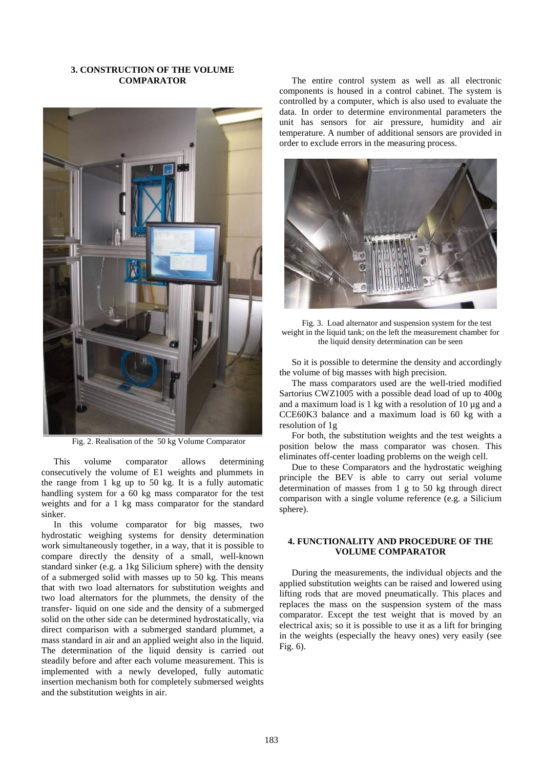#### **3. CONSTRUCTION OF THE VOLUME COMPARATOR**



Fig. 2. Realisation of the 50 kg Volume Comparator

This volume comparator allows determining consecutively the volume of E1 weights and plummets in the range from 1 kg up to 50 kg. It is a fully automatic handling system for a 60 kg mass comparator for the test weights and for a 1 kg mass comparator for the standard sinker.

In this volume comparator for big masses, two hydrostatic weighing systems for density determination work simultaneously together, in a way, that it is possible to compare directly the density of a small, well-known standard sinker (e.g. a 1kg Silicium sphere) with the density of a submerged solid with masses up to 50 kg. This means that with two load alternators for substitution weights and two load alternators for the plummets, the density of the transfer- liquid on one side and the density of a submerged solid on the other side can be determined hydrostatically, via direct comparison with a submerged standard plummet, a mass standard in air and an applied weight also in the liquid. The determination of the liquid density is carried out steadily before and after each volume measurement. This is implemented with a newly developed, fully automatic insertion mechanism both for completely submersed weights and the substitution weights in air.

The entire control system as well as all electronic components is housed in a control cabinet. The system is controlled by a computer, which is also used to evaluate the data. In order to determine environmental parameters the unit has sensors for air pressure, humidity and air temperature. A number of additional sensors are provided in order to exclude errors in the measuring process.



Fig. 3. Load alternator and suspension system for the test weight in the liquid tank; on the left the measurement chamber for the liquid density determination can be seen

So it is possible to determine the density and accordingly the volume of big masses with high precision.

The mass comparators used are the well-tried modified Sartorius CWZ1005 with a possible dead load of up to 400g and a maximum load is 1 kg with a resolution of 10 µg and a CCE60K3 balance and a maximum load is 60 kg with a resolution of 1g

For both, the substitution weights and the test weights a position below the mass comparator was chosen. This eliminates off-center loading problems on the weigh cell.

Due to these Comparators and the hydrostatic weighing principle the BEV is able to carry out serial volume determination of masses from 1 g to 50 kg through direct comparison with a single volume reference (e.g. a Silicium sphere).

#### **4. FUNCTIONALITY AND PROCEDURE OF THE VOLUME COMPARATOR**

During the measurements, the individual objects and the applied substitution weights can be raised and lowered using lifting rods that are moved pneumatically. This places and replaces the mass on the suspension system of the mass comparator. Except the test weight that is moved by an electrical axis; so it is possible to use it as a lift for bringing in the weights (especially the heavy ones) very easily (see Fig. 6).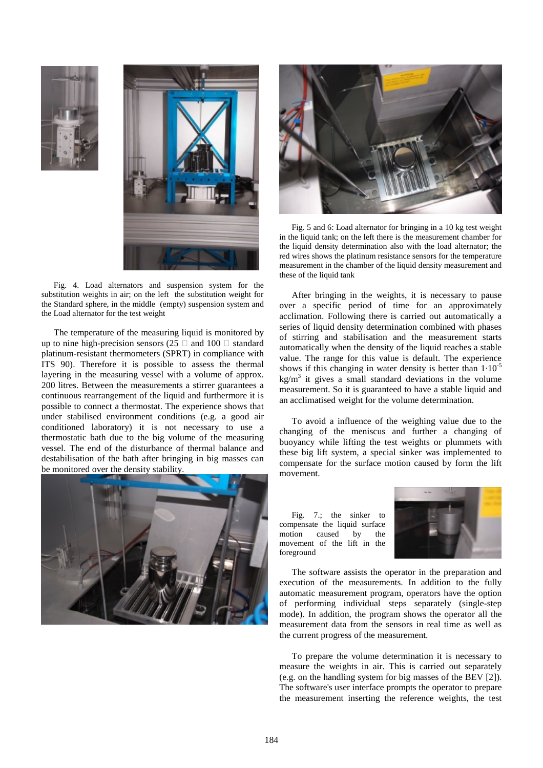



Fig. 4. Load alternators and suspension system for the substitution weights in air; on the left the substitution weight for the Standard sphere, in the middle (empty) suspension system and the Load alternator for the test weight

The temperature of the measuring liquid is monitored by up to nine high-precision sensors (25  $\Box$  and 100  $\Box$  standard platinum-resistant thermometers (SPRT) in compliance with ITS 90). Therefore it is possible to assess the thermal layering in the measuring vessel with a volume of approx. 200 litres. Between the measurements a stirrer guarantees a continuous rearrangement of the liquid and furthermore it is possible to connect a thermostat. The experience shows that under stabilised environment conditions (e.g. a good air conditioned laboratory) it is not necessary to use a thermostatic bath due to the big volume of the measuring vessel. The end of the disturbance of thermal balance and destabilisation of the bath after bringing in big masses can be monitored over the density stability.





Fig. 5 and 6: Load alternator for bringing in a 10 kg test weight in the liquid tank; on the left there is the measurement chamber for the liquid density determination also with the load alternator; the red wires shows the platinum resistance sensors for the temperature measurement in the chamber of the liquid density measurement and these of the liquid tank

After bringing in the weights, it is necessary to pause over a specific period of time for an approximately acclimation. Following there is carried out automatically a series of liquid density determination combined with phases of stirring and stabilisation and the measurement starts automatically when the density of the liquid reaches a stable value. The range for this value is default. The experience shows if this changing in water density is better than  $1.10^{-5}$  $\text{kg/m}^3$  it gives a small standard deviations in the volume measurement. So it is guaranteed to have a stable liquid and an acclimatised weight for the volume determination.

To avoid a influence of the weighing value due to the changing of the meniscus and further a changing of buoyancy while lifting the test weights or plummets with these big lift system, a special sinker was implemented to compensate for the surface motion caused by form the lift movement.

Fig. 7.; the sinker to compensate the liquid surface motion caused by the movement of the lift in the foreground



The software assists the operator in the preparation and execution of the measurements. In addition to the fully automatic measurement program, operators have the option of performing individual steps separately (single-step mode). In addition, the program shows the operator all the measurement data from the sensors in real time as well as the current progress of the measurement.

To prepare the volume determination it is necessary to measure the weights in air. This is carried out separately (e.g. on the handling system for big masses of the BEV [2]). The software's user interface prompts the operator to prepare the measurement inserting the reference weights, the test